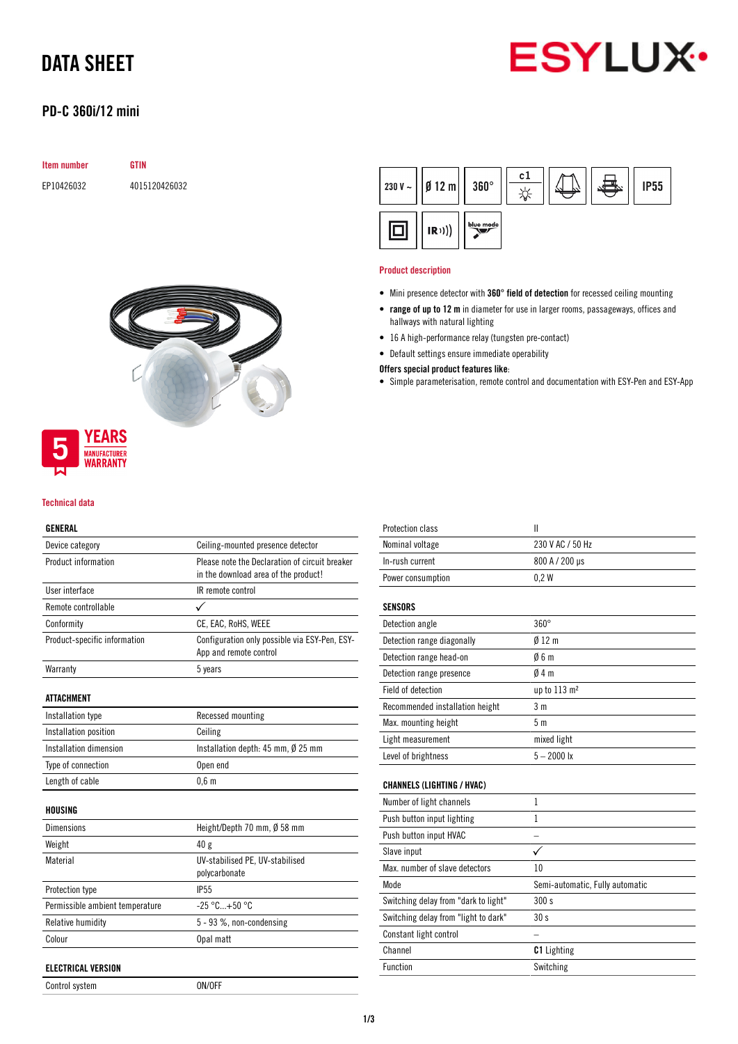# **ESYLUX**

# DATA SHEET

### PD-C 360i/12 mini

| <b>Item number</b> | GTIN          |
|--------------------|---------------|
| EP10426032         | 4015120426032 |



## **YEARS MANUFACTURER**<br>**WARRANTY**

#### Technical data

#### GENERAL

| Device category                 | Ceiling-mounted presence detector                                                      |  |
|---------------------------------|----------------------------------------------------------------------------------------|--|
| Product information             | Please note the Declaration of circuit breaker<br>in the download area of the product! |  |
| User interface                  | IR remote control                                                                      |  |
| Remote controllable             |                                                                                        |  |
| Conformity                      | CE, EAC, RoHS, WEEE                                                                    |  |
| Product-specific information    | Configuration only possible via ESY-Pen, ESY-<br>App and remote control                |  |
| Warranty                        | 5 years                                                                                |  |
| ATTACHMENT                      |                                                                                        |  |
| Installation type               | Recessed mounting                                                                      |  |
| Installation position           | Ceiling                                                                                |  |
| Installation dimension          | Installation depth: $45$ mm, $\emptyset$ 25 mm                                         |  |
| Type of connection              | Open end                                                                               |  |
| Length of cable                 | 0.6 <sub>m</sub>                                                                       |  |
| HOUSING                         |                                                                                        |  |
| <b>Dimensions</b>               | Height/Depth 70 mm, Ø 58 mm                                                            |  |
| Weight                          | 40 g                                                                                   |  |
| Material                        | UV-stabilised PE, UV-stabilised<br>polycarbonate                                       |  |
| Protection type                 | <b>IP55</b>                                                                            |  |
| Permissible ambient temperature | $-25 °C + 50 °C$                                                                       |  |
| Relative humidity               | 5 - 93 %, non-condensing                                                               |  |
| Colour                          | Opal matt                                                                              |  |
| <b>ELECTRICAL VERSION</b>       |                                                                                        |  |
| Control system                  | ON/OFF                                                                                 |  |

 $c1$  $360^\circ$ 230 V  $\sim$  $Ø$  12 m **IP55**  $\frac{1}{2}$ blue mode o  $(R))$ 

#### Product description

- Mini presence detector with 360° field of detection for recessed ceiling mounting
- range of up to 12 m in diameter for use in larger rooms, passageways, offices and hallways with natural lighting
- 16 A high-performance relay (tungsten pre-contact)
- Default settings ensure immediate operability

#### Offers special product features like:

• Simple parameterisation, remote control and documentation with ESY-Pen and ESY-App

| <b>Protection class</b>              | $\mathbf{I}$                    |
|--------------------------------------|---------------------------------|
| Nominal voltage                      | 230 V AC / 50 Hz                |
| In-rush current                      | 800 A / 200 µs                  |
| Power consumption                    | 0.2W                            |
| SENSORS                              |                                 |
| Detection angle                      | $360^\circ$                     |
| Detection range diagonally           | $0/12$ m                        |
| Detection range head-on              | 06m                             |
| Detection range presence             | 04m                             |
| Field of detection                   | up to 113 m <sup>2</sup>        |
| Recommended installation height      | 3 <sub>m</sub>                  |
| Max. mounting height                 | 5 <sub>m</sub>                  |
| Light measurement                    | mixed light                     |
| Level of brightness                  | $5 - 2000$ lx                   |
| <b>CHANNELS (LIGHTING / HVAC)</b>    |                                 |
| Number of light channels             | 1                               |
| Push button input lighting           | 1                               |
| Push button input HVAC               |                                 |
| Slave input                          |                                 |
| Max. number of slave detectors       | 10                              |
| Mode                                 | Semi-automatic, Fully automatic |
| Switching delay from "dark to light" | 300 s                           |
| Switching delay from "light to dark" | 30s                             |
| Constant light control               |                                 |
| Channel                              | <b>C1</b> Lighting              |
| <b>Function</b>                      | Switching                       |
|                                      |                                 |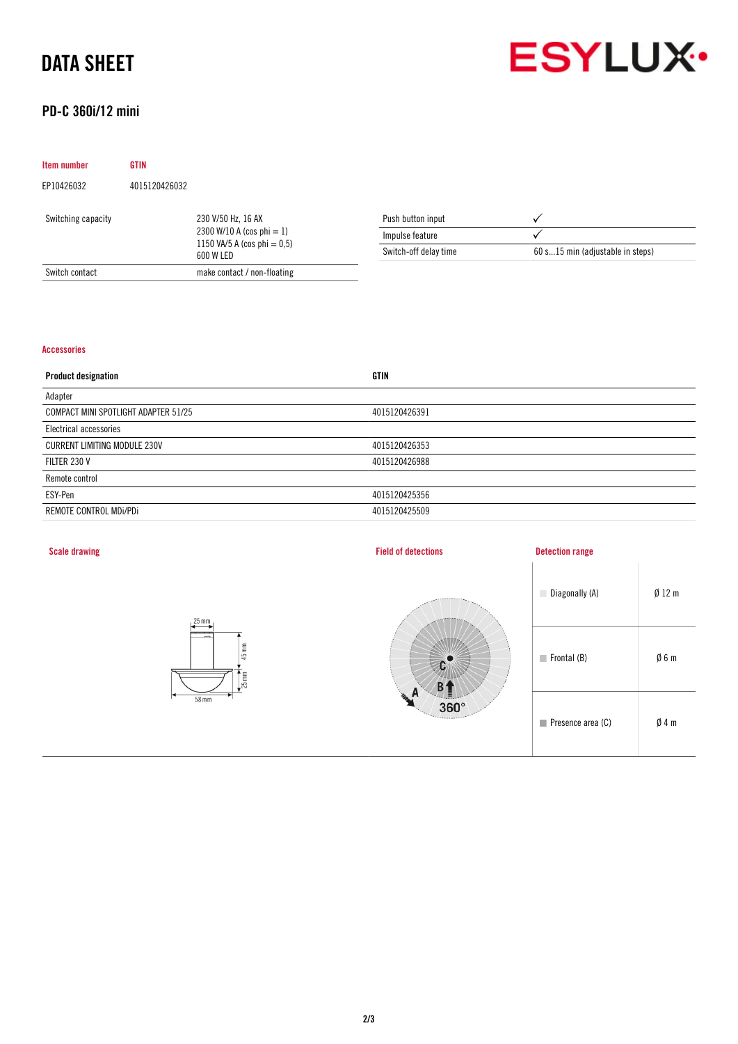# DATA SHEET



### PD-C 360i/12 mini

| Item number        | <b>GTIN</b>   |                                                                                                |                       |                                  |
|--------------------|---------------|------------------------------------------------------------------------------------------------|-----------------------|----------------------------------|
| EP10426032         | 4015120426032 |                                                                                                |                       |                                  |
| Switching capacity |               | 230 V/50 Hz, 16 AX<br>2300 W/10 A (cos phi = 1)<br>1150 VA/5 A (cos phi = $0.5$ )<br>600 W LED | Push button input     |                                  |
|                    |               |                                                                                                | Impulse feature       |                                  |
|                    |               |                                                                                                | Switch-off delay time | 60 s15 min (adjustable in steps) |
| Switch contact     |               | make contact / non-floating                                                                    |                       |                                  |

#### Accessories

| <b>Product designation</b>           | <b>GTIN</b>   |
|--------------------------------------|---------------|
| Adapter                              |               |
| COMPACT MINI SPOTLIGHT ADAPTER 51/25 | 4015120426391 |
| Electrical accessories               |               |
| <b>CURRENT LIMITING MODULE 230V</b>  | 4015120426353 |
| FILTER 230 V                         | 4015120426988 |
| Remote control                       |               |
| ESY-Pen                              | 4015120425356 |
| REMOTE CONTROL MDI/PDI               | 4015120425509 |
|                                      |               |

| <b>Scale drawing</b>                                                               | <b>Field of detections</b> | <b>Detection range</b>           |                 |
|------------------------------------------------------------------------------------|----------------------------|----------------------------------|-----------------|
| $25 \text{ mm}$                                                                    |                            | Diagonally (A)                   | $Ø$ 12 m        |
| $\overline{\phantom{a}}$<br>$\overline{\phantom{0}}$<br>$45 \text{ mm}$<br>$25$ mm |                            | $\blacksquare$ Frontal (B)       | $\emptyset$ 6 m |
| 58 mm                                                                              | $360^\circ$                | $\blacksquare$ Presence area (C) | $\emptyset$ 4 m |